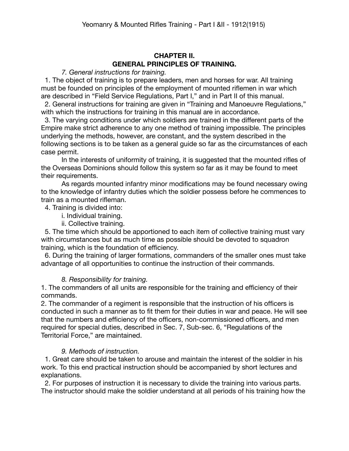# **CHAPTER II. GENERAL PRINCIPLES OF TRAINING.**

*7. General instructions for training.*

 1. The object of training is to prepare leaders, men and horses for war. All training must be founded on principles of the employment of mounted riflemen in war which are described in "Field Service Regulations, Part I," and in Part II of this manual.

 2. General instructions for training are given in "Training and Manoeuvre Regulations," with which the instructions for training in this manual are in accordance.

 3. The varying conditions under which soldiers are trained in the different parts of the Empire make strict adherence to any one method of training impossible. The principles underlying the methods, however, are constant, and the system described in the following sections is to be taken as a general guide so far as the circumstances of each case permit.

In the interests of uniformity of training, it is suggested that the mounted rifles of the Overseas Dominions should follow this system so far as it may be found to meet their requirements.

As regards mounted infantry minor modifications may be found necessary owing to the knowledge of infantry duties which the soldier possess before he commences to train as a mounted rifleman.

4. Training is divided into:

- i. Individual training.
- ii. Collective training.

 5. The time which should be apportioned to each item of collective training must vary with circumstances but as much time as possible should be devoted to squadron training, which is the foundation of efficiency.

 6. During the training of larger formations, commanders of the smaller ones must take advantage of all opportunities to continue the instruction of their commands.

#### *8. Responsibility for training.*

1. The commanders of all units are responsible for the training and efficiency of their commands.

2. The commander of a regiment is responsible that the instruction of his officers is conducted in such a manner as to fit them for their duties in war and peace. He will see that the numbers and efficiency of the officers, non-commissioned officers, and men required for special duties, described in Sec. 7, Sub-sec. 6, "Regulations of the Territorial Force," are maintained.

### *9. Methods of instruction.*

 1. Great care should be taken to arouse and maintain the interest of the soldier in his work. To this end practical instruction should be accompanied by short lectures and explanations.

 2. For purposes of instruction it is necessary to divide the training into various parts. The instructor should make the soldier understand at all periods of his training how the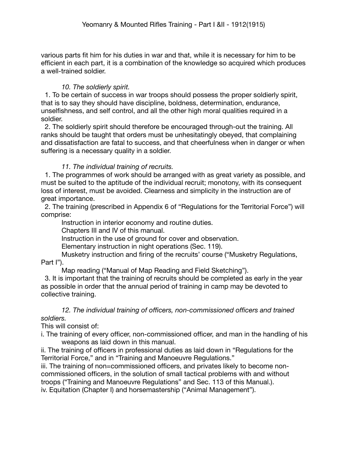various parts fit him for his duties in war and that, while it is necessary for him to be efficient in each part, it is a combination of the knowledge so acquired which produces a well-trained soldier.

### *10. The soldierly spirit.*

 1. To be certain of success in war troops should possess the proper soldierly spirit, that is to say they should have discipline, boldness, determination, endurance, unselfishness, and self control, and all the other high moral qualities required in a soldier.

 2. The soldierly spirit should therefore be encouraged through-out the training. All ranks should be taught that orders must be unhesitatingly obeyed, that complaining and dissatisfaction are fatal to success, and that cheerfulness when in danger or when suffering is a necessary quality in a soldier.

## *11. The individual training of recruits.*

 1. The programmes of work should be arranged with as great variety as possible, and must be suited to the aptitude of the individual recruit; monotony, with its consequent loss of interest, must be avoided. Clearness and simplicity in the instruction are of great importance.

 2. The training (prescribed in Appendix 6 of "Regulations for the Territorial Force") will comprise:

Instruction in interior economy and routine duties.

Chapters III and IV of this manual.

Instruction in the use of ground for cover and observation.

Elementary instruction in night operations (Sec. 119).

Musketry instruction and firing of the recruits' course ("Musketry Regulations, Part I").

Map reading ("Manual of Map Reading and Field Sketching").

 3. It is important that the training of recruits should be completed as early in the year as possible in order that the annual period of training in camp may be devoted to collective training.

### *12. The individual training of officers, non-commissioned officers and trained soldiers.*

This will consist of:

i. The training of every officer, non-commissioned officer, and man in the handling of his weapons as laid down in this manual.

ii. The training of officers in professional duties as laid down in "Regulations for the Territorial Force," and in "Training and Manoeuvre Regulations."

iii. The training of non=commissioned officers, and privates likely to become noncommissioned officers, in the solution of small tactical problems with and without troops ("Training and Manoeuvre Regulations" and Sec. 113 of this Manual.).

iv. Equitation (Chapter I) and horsemastership ("Animal Management").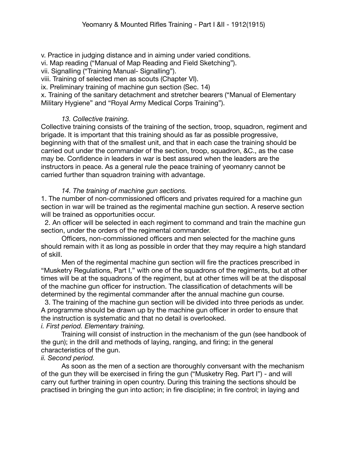v. Practice in judging distance and in aiming under varied conditions.

vi. Map reading ("Manual of Map Reading and Field Sketching").

vii. Signalling ("Training Manual- Signalling").

viii. Training of selected men as scouts (Chapter VI).

ix. Preliminary training of machine gun section (Sec. 14)

x. Training of the sanitary detachment and stretcher bearers ("Manual of Elementary Military Hygiene" and "Royal Army Medical Corps Training").

# *13. Collective training.*

Collective training consists of the training of the section, troop, squadron, regiment and brigade. It is important that this training should as far as possible progressive, beginning with that of the smallest unit, and that in each case the training should be carried out under the commander of the section, troop, squadron, &C., as the case may be. Confidence in leaders in war is best assured when the leaders are the instructors in peace. As a general rule the peace training of yeomanry cannot be carried further than squadron training with advantage.

## *14. The training of machine gun sections.*

1. The number of non-commissioned officers and privates required for a machine gun section in war will be trained as the regimental machine gun section. A reserve section will be trained as opportunities occur.

 2. An officer will be selected in each regiment to command and train the machine gun section, under the orders of the regimental commander.

Officers, non-commissioned officers and men selected for the machine guns should remain with it as long as possible in order that they may require a high standard of skill.

Men of the regimental machine gun section will fire the practices prescribed in "Musketry Regulations, Part I," with one of the squadrons of the regiments, but at other times will be at the squadrons of the regiment, but at other times will be at the disposal of the machine gun officer for instruction. The classification of detachments will be determined by the regimental commander after the annual machine gun course.

 3. The training of the machine gun section will be divided into three periods as under. A programme should be drawn up by the machine gun officer in order to ensure that the instruction is systematic and that no detail is overlooked.

## *i. First period. Elementary training.*

Training will consist of instruction in the mechanism of the gun (see handbook of the gun); in the drill and methods of laying, ranging, and firing; in the general characteristics of the gun.

## *ii. Second period.*

As soon as the men of a section are thoroughly conversant with the mechanism of the gun they will be exercised in firing the gun ("Musketry Reg. Part I") - and will carry out further training in open country. During this training the sections should be practised in bringing the gun into action; in fire discipline; in fire control; in laying and